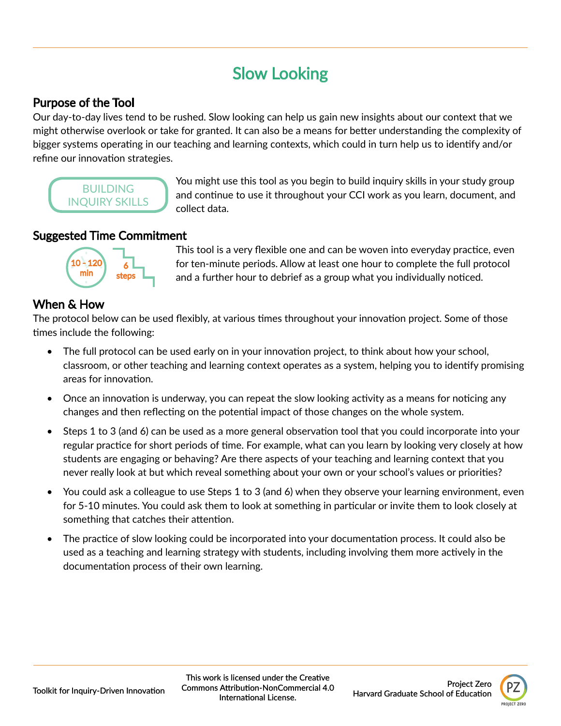# Slow Looking

# Purpose of the Tool

Our day-to-day lives tend to be rushed. Slow looking can help us gain new insights about our context that we might otherwise overlook or take for granted. It can also be a means for better understanding the complexity of bigger systems operating in our teaching and learning contexts, which could in turn help us to identify and/or refine our innovation strategies.

**BUILDING** INQUIRY SKILLS You might use this tool as you begin to build inquiry skills in your study group and continue to use it throughout your CCI work as you learn, document, and collect data.

## Suggested Time Commitment



This tool is a very flexible one and can be woven into everyday practice, even for ten-minute periods. Allow at least one hour to complete the full protocol and a further hour to debrief as a group what you individually noticed.

# When & How

The protocol below can be used flexibly, at various times throughout your innovation project. Some of those times include the following:

- The full protocol can be used early on in your innovation project, to think about how your school, classroom, or other teaching and learning context operates as a system, helping you to identify promising areas for innovation.
- Once an innovation is underway, you can repeat the slow looking activity as a means for noticing any changes and then reflecting on the potential impact of those changes on the whole system.
- Steps 1 to 3 (and 6) can be used as a more general observation tool that you could incorporate into your regular practice for short periods of time. For example, what can you learn by looking very closely at how students are engaging or behaving? Are there aspects of your teaching and learning context that you never really look at but which reveal something about your own or your school's values or priorities?
- You could ask a colleague to use Steps 1 to 3 (and 6) when they observe your learning environment, even for 5-10 minutes. You could ask them to look at something in particular or invite them to look closely at something that catches their attention.
- The practice of slow looking could be incorporated into your documentation process. It could also be used as a teaching and learning strategy with students, including involving them more actively in the documentation process of their own learning.